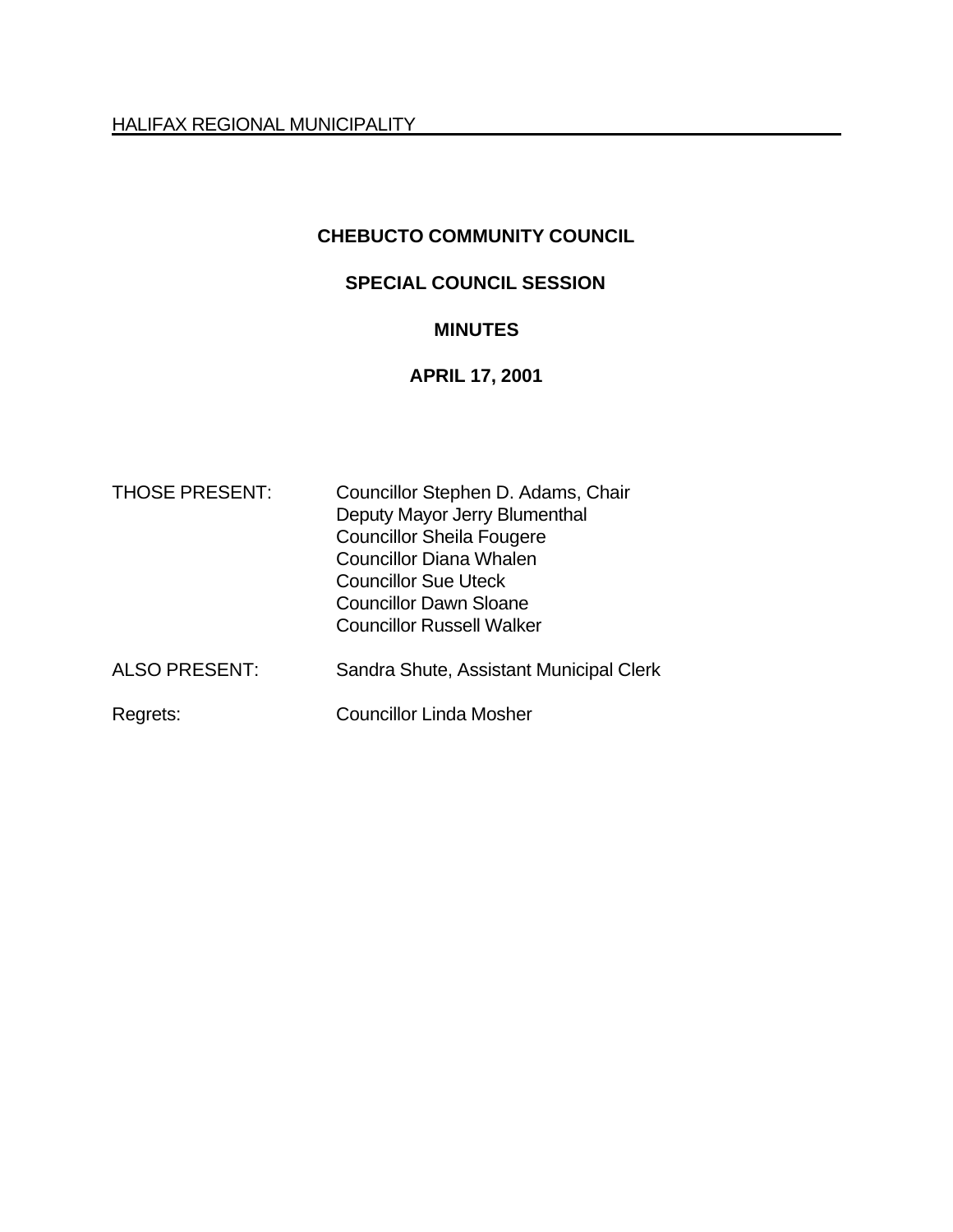HALIFAX REGIONAL MUNICIPALITY

# **CHEBUCTO COMMUNITY COUNCIL**

### **SPECIAL COUNCIL SESSION**

# **MINUTES**

#### **APRIL 17, 2001**

| <b>THOSE PRESENT:</b> | Councillor Stephen D. Adams, Chair<br>Deputy Mayor Jerry Blumenthal<br><b>Councillor Sheila Fougere</b><br><b>Councillor Diana Whalen</b><br><b>Councillor Sue Uteck</b><br><b>Councillor Dawn Sloane</b><br><b>Councillor Russell Walker</b> |
|-----------------------|-----------------------------------------------------------------------------------------------------------------------------------------------------------------------------------------------------------------------------------------------|
| <b>ALSO PRESENT:</b>  | Sandra Shute, Assistant Municipal Clerk                                                                                                                                                                                                       |
| Regrets:              | <b>Councillor Linda Mosher</b>                                                                                                                                                                                                                |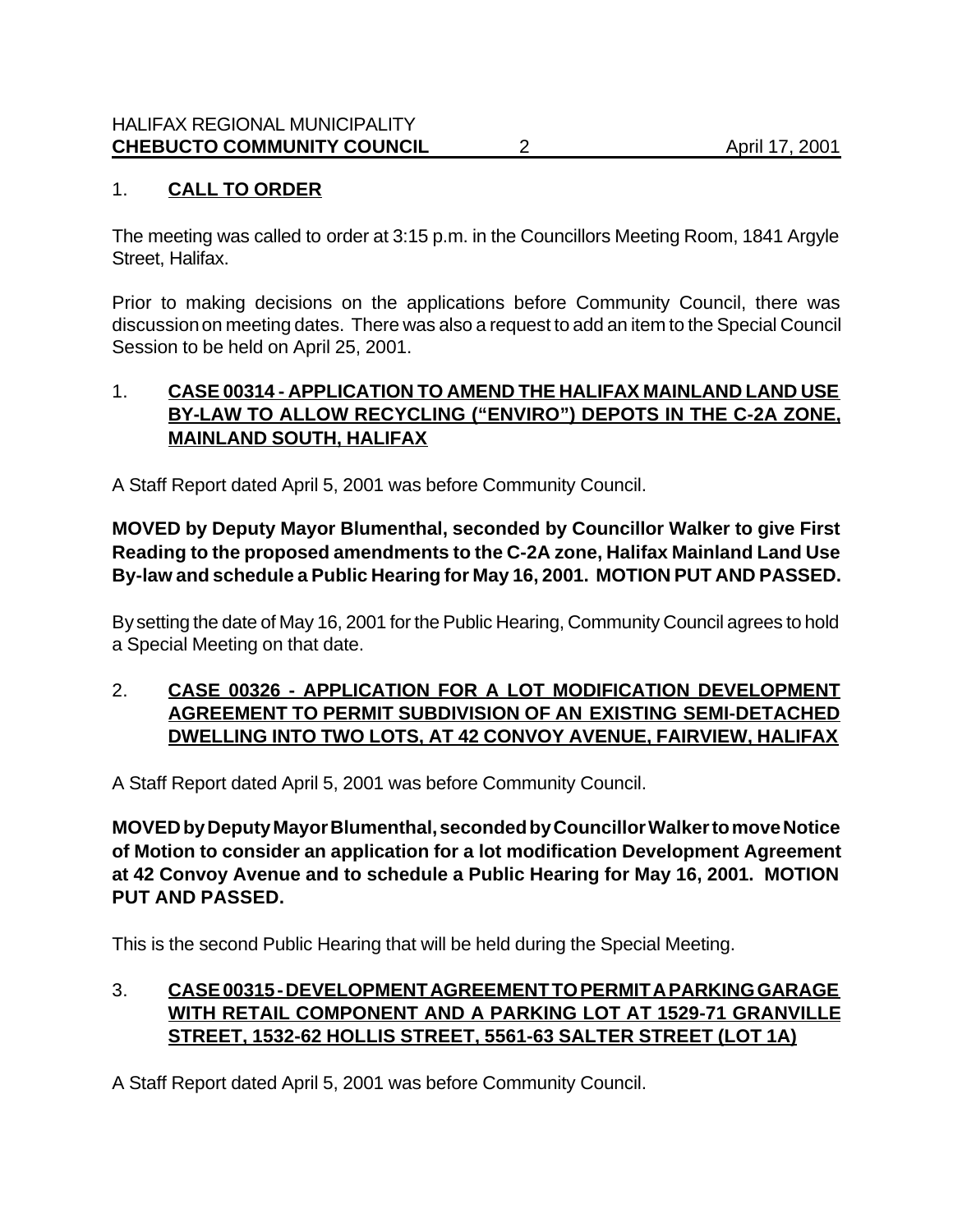# 1. **CALL TO ORDER**

The meeting was called to order at 3:15 p.m. in the Councillors Meeting Room, 1841 Argyle Street, Halifax.

Prior to making decisions on the applications before Community Council, there was discussion on meeting dates. There was also a request to add an item to the Special Council Session to be held on April 25, 2001.

#### 1. **CASE 00314 - APPLICATION TO AMEND THE HALIFAX MAINLAND LAND USE BY-LAW TO ALLOW RECYCLING ("ENVIRO") DEPOTS IN THE C-2A ZONE, MAINLAND SOUTH, HALIFAX**

A Staff Report dated April 5, 2001 was before Community Council.

# **MOVED by Deputy Mayor Blumenthal, seconded by Councillor Walker to give First Reading to the proposed amendments to the C-2A zone, Halifax Mainland Land Use By-law and schedule a Public Hearing for May 16, 2001. MOTION PUT AND PASSED.**

By setting the date of May 16, 2001 for the Public Hearing, Community Council agrees to hold a Special Meeting on that date.

### 2. **CASE 00326 - APPLICATION FOR A LOT MODIFICATION DEVELOPMENT AGREEMENT TO PERMIT SUBDIVISION OF AN EXISTING SEMI-DETACHED DWELLING INTO TWO LOTS, AT 42 CONVOY AVENUE, FAIRVIEW, HALIFAX**

A Staff Report dated April 5, 2001 was before Community Council.

**MOVED by Deputy Mayor Blumenthal, seconded by Councillor Walker to move Notice of Motion to consider an application for a lot modification Development Agreement at 42 Convoy Avenue and to schedule a Public Hearing for May 16, 2001. MOTION PUT AND PASSED.**

This is the second Public Hearing that will be held during the Special Meeting.

# 3. **CASE 00315 - DEVELOPMENT AGREEMENT TO PERMIT A PARKING GARAGE WITH RETAIL COMPONENT AND A PARKING LOT AT 1529-71 GRANVILLE STREET, 1532-62 HOLLIS STREET, 5561-63 SALTER STREET (LOT 1A)**

A Staff Report dated April 5, 2001 was before Community Council.